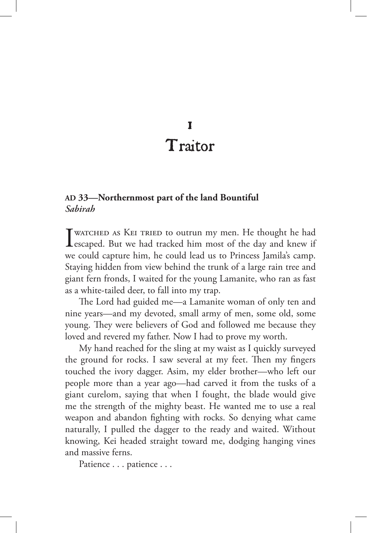## 1 Traitor

## **AD 33—Northernmost part of the land Bountiful** *Sabirah*

I watched as Kei tried to outrun my men. He thought he had escaped. But we had tracked him most of the day and knew if we could capture him, he could lead us to Princess Jamila's camp. Staying hidden from view behind the trunk of a large rain tree and giant fern fronds, I waited for the young Lamanite, who ran as fast as a white-tailed deer, to fall into my trap.

The Lord had guided me—a Lamanite woman of only ten and nine years—and my devoted, small army of men, some old, some young. They were believers of God and followed me because they loved and revered my father. Now I had to prove my worth.

My hand reached for the sling at my waist as I quickly surveyed the ground for rocks. I saw several at my feet. Then my fingers touched the ivory dagger. Asim, my elder brother—who left our people more than a year ago—had carved it from the tusks of a giant curelom, saying that when I fought, the blade would give me the strength of the mighty beast. He wanted me to use a real weapon and abandon fighting with rocks. So denying what came naturally, I pulled the dagger to the ready and waited. Without knowing, Kei headed straight toward me, dodging hanging vines and massive ferns.

Patience . . . patience . . .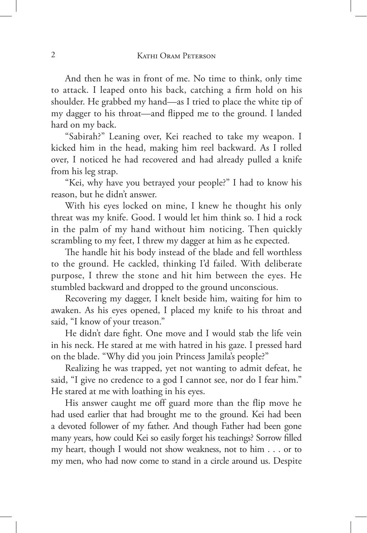And then he was in front of me. No time to think, only time to attack. I leaped onto his back, catching a firm hold on his shoulder. He grabbed my hand—as I tried to place the white tip of my dagger to his throat—and flipped me to the ground. I landed hard on my back.

"Sabirah?" Leaning over, Kei reached to take my weapon. I kicked him in the head, making him reel backward. As I rolled over, I noticed he had recovered and had already pulled a knife from his leg strap.

"Kei, why have you betrayed your people?" I had to know his reason, but he didn't answer.

With his eyes locked on mine, I knew he thought his only threat was my knife. Good. I would let him think so. I hid a rock in the palm of my hand without him noticing. Then quickly scrambling to my feet, I threw my dagger at him as he expected.

The handle hit his body instead of the blade and fell worthless to the ground. He cackled, thinking I'd failed. With deliberate purpose, I threw the stone and hit him between the eyes. He stumbled backward and dropped to the ground unconscious.

Recovering my dagger, I knelt beside him, waiting for him to awaken. As his eyes opened, I placed my knife to his throat and said, "I know of your treason."

He didn't dare fight. One move and I would stab the life vein in his neck. He stared at me with hatred in his gaze. I pressed hard on the blade. "Why did you join Princess Jamila's people?"

Realizing he was trapped, yet not wanting to admit defeat, he said, "I give no credence to a god I cannot see, nor do I fear him." He stared at me with loathing in his eyes.

His answer caught me off guard more than the flip move he had used earlier that had brought me to the ground. Kei had been a devoted follower of my father. And though Father had been gone many years, how could Kei so easily forget his teachings? Sorrow filled my heart, though I would not show weakness, not to him . . . or to my men, who had now come to stand in a circle around us. Despite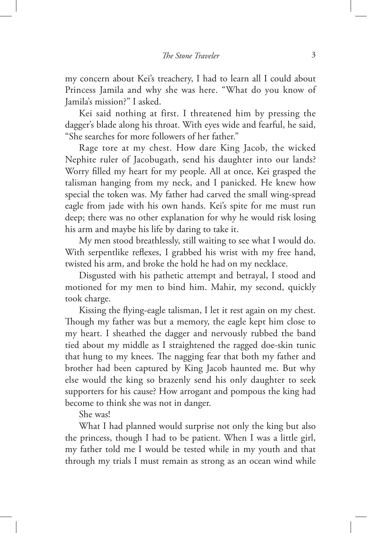my concern about Kei's treachery, I had to learn all I could about Princess Jamila and why she was here. "What do you know of Jamila's mission?" I asked.

Kei said nothing at first. I threatened him by pressing the dagger's blade along his throat. With eyes wide and fearful, he said, "She searches for more followers of her father."

Rage tore at my chest. How dare King Jacob, the wicked Nephite ruler of Jacobugath, send his daughter into our lands? Worry filled my heart for my people. All at once, Kei grasped the talisman hanging from my neck, and I panicked. He knew how special the token was. My father had carved the small wing-spread eagle from jade with his own hands. Kei's spite for me must run deep; there was no other explanation for why he would risk losing his arm and maybe his life by daring to take it.

My men stood breathlessly, still waiting to see what I would do. With serpentlike reflexes, I grabbed his wrist with my free hand, twisted his arm, and broke the hold he had on my necklace.

Disgusted with his pathetic attempt and betrayal, I stood and motioned for my men to bind him. Mahir, my second, quickly took charge.

Kissing the flying-eagle talisman, I let it rest again on my chest. Though my father was but a memory, the eagle kept him close to my heart. I sheathed the dagger and nervously rubbed the band tied about my middle as I straightened the ragged doe-skin tunic that hung to my knees. The nagging fear that both my father and brother had been captured by King Jacob haunted me. But why else would the king so brazenly send his only daughter to seek supporters for his cause? How arrogant and pompous the king had become to think she was not in danger.

She was!

What I had planned would surprise not only the king but also the princess, though I had to be patient. When I was a little girl, my father told me I would be tested while in my youth and that through my trials I must remain as strong as an ocean wind while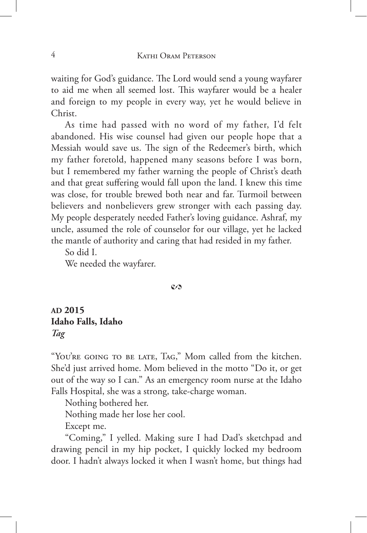waiting for God's guidance. The Lord would send a young wayfarer to aid me when all seemed lost. This wayfarer would be a healer and foreign to my people in every way, yet he would believe in Christ.

As time had passed with no word of my father, I'd felt abandoned. His wise counsel had given our people hope that a Messiah would save us. The sign of the Redeemer's birth, which my father foretold, happened many seasons before I was born, but I remembered my father warning the people of Christ's death and that great suffering would fall upon the land. I knew this time was close, for trouble brewed both near and far. Turmoil between believers and nonbelievers grew stronger with each passing day. My people desperately needed Father's loving guidance. Ashraf, my uncle, assumed the role of counselor for our village, yet he lacked the mantle of authority and caring that had resided in my father.

So did I.

We needed the wayfarer.

## $\mathcal{C}$

## **AD 2015 Idaho Falls, Idaho** *Tag*

"You're going to be late, Tag," Mom called from the kitchen. She'd just arrived home. Mom believed in the motto "Do it, or get out of the way so I can." As an emergency room nurse at the Idaho Falls Hospital, she was a strong, take-charge woman.

Nothing bothered her.

Nothing made her lose her cool.

Except me.

"Coming," I yelled. Making sure I had Dad's sketchpad and drawing pencil in my hip pocket, I quickly locked my bedroom door. I hadn't always locked it when I wasn't home, but things had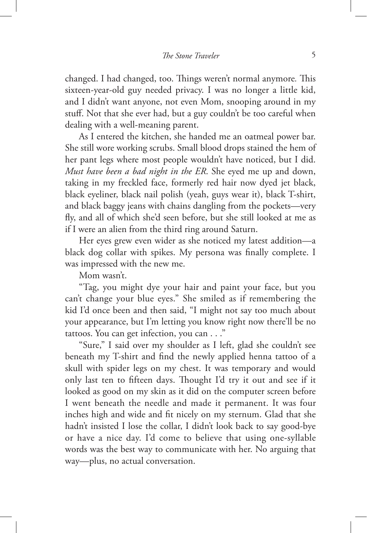changed. I had changed, too. Things weren't normal anymore*.* This sixteen-year-old guy needed privacy. I was no longer a little kid, and I didn't want anyone, not even Mom, snooping around in my stuff. Not that she ever had, but a guy couldn't be too careful when dealing with a well-meaning parent.

As I entered the kitchen, she handed me an oatmeal power bar. She still wore working scrubs. Small blood drops stained the hem of her pant legs where most people wouldn't have noticed, but I did. *Must have been a bad night in the ER*. She eyed me up and down, taking in my freckled face, formerly red hair now dyed jet black, black eyeliner, black nail polish (yeah, guys wear it), black T-shirt, and black baggy jeans with chains dangling from the pockets—very fly, and all of which she'd seen before, but she still looked at me as if I were an alien from the third ring around Saturn.

Her eyes grew even wider as she noticed my latest addition—a black dog collar with spikes. My persona was finally complete. I was impressed with the new me.

Mom wasn't.

"Tag, you might dye your hair and paint your face, but you can't change your blue eyes." She smiled as if remembering the kid I'd once been and then said, "I might not say too much about your appearance, but I'm letting you know right now there'll be no tattoos. You can get infection, you can . . ."

"Sure," I said over my shoulder as I left, glad she couldn't see beneath my T-shirt and find the newly applied henna tattoo of a skull with spider legs on my chest. It was temporary and would only last ten to fifteen days. Thought I'd try it out and see if it looked as good on my skin as it did on the computer screen before I went beneath the needle and made it permanent. It was four inches high and wide and fit nicely on my sternum. Glad that she hadn't insisted I lose the collar, I didn't look back to say good-bye or have a nice day. I'd come to believe that using one-syllable words was the best way to communicate with her. No arguing that way—plus, no actual conversation.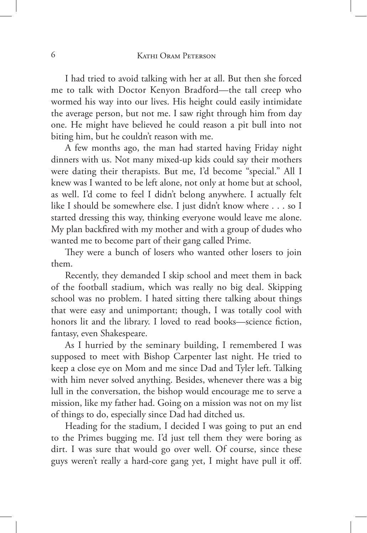I had tried to avoid talking with her at all. But then she forced me to talk with Doctor Kenyon Bradford—the tall creep who wormed his way into our lives. His height could easily intimidate the average person, but not me. I saw right through him from day one. He might have believed he could reason a pit bull into not biting him, but he couldn't reason with me.

A few months ago, the man had started having Friday night dinners with us. Not many mixed-up kids could say their mothers were dating their therapists. But me, I'd become "special." All I knew was I wanted to be left alone, not only at home but at school, as well. I'd come to feel I didn't belong anywhere. I actually felt like I should be somewhere else. I just didn't know where . . . so I started dressing this way, thinking everyone would leave me alone. My plan backfired with my mother and with a group of dudes who wanted me to become part of their gang called Prime.

They were a bunch of losers who wanted other losers to join them.

Recently, they demanded I skip school and meet them in back of the football stadium, which was really no big deal. Skipping school was no problem. I hated sitting there talking about things that were easy and unimportant; though, I was totally cool with honors lit and the library. I loved to read books—science fiction, fantasy, even Shakespeare.

As I hurried by the seminary building, I remembered I was supposed to meet with Bishop Carpenter last night. He tried to keep a close eye on Mom and me since Dad and Tyler left. Talking with him never solved anything. Besides, whenever there was a big lull in the conversation, the bishop would encourage me to serve a mission, like my father had. Going on a mission was not on my list of things to do, especially since Dad had ditched us.

Heading for the stadium, I decided I was going to put an end to the Primes bugging me. I'd just tell them they were boring as dirt. I was sure that would go over well. Of course, since these guys weren't really a hard-core gang yet, I might have pull it off.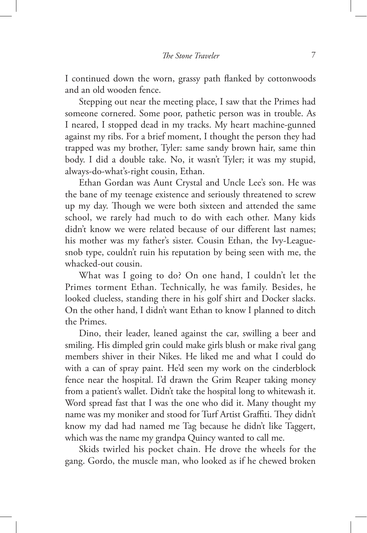I continued down the worn, grassy path flanked by cottonwoods and an old wooden fence.

Stepping out near the meeting place, I saw that the Primes had someone cornered. Some poor, pathetic person was in trouble. As I neared, I stopped dead in my tracks. My heart machine-gunned against my ribs. For a brief moment, I thought the person they had trapped was my brother, Tyler: same sandy brown hair, same thin body. I did a double take. No, it wasn't Tyler; it was my stupid, always-do-what's-right cousin, Ethan.

Ethan Gordan was Aunt Crystal and Uncle Lee's son. He was the bane of my teenage existence and seriously threatened to screw up my day. Though we were both sixteen and attended the same school, we rarely had much to do with each other. Many kids didn't know we were related because of our different last names; his mother was my father's sister. Cousin Ethan, the Ivy-Leaguesnob type, couldn't ruin his reputation by being seen with me, the whacked-out cousin.

What was I going to do? On one hand, I couldn't let the Primes torment Ethan. Technically, he was family. Besides, he looked clueless, standing there in his golf shirt and Docker slacks. On the other hand, I didn't want Ethan to know I planned to ditch the Primes.

Dino, their leader, leaned against the car, swilling a beer and smiling. His dimpled grin could make girls blush or make rival gang members shiver in their Nikes. He liked me and what I could do with a can of spray paint. He'd seen my work on the cinderblock fence near the hospital. I'd drawn the Grim Reaper taking money from a patient's wallet. Didn't take the hospital long to whitewash it. Word spread fast that I was the one who did it. Many thought my name was my moniker and stood for Turf Artist Graffiti. They didn't know my dad had named me Tag because he didn't like Taggert, which was the name my grandpa Quincy wanted to call me.

Skids twirled his pocket chain. He drove the wheels for the gang. Gordo, the muscle man, who looked as if he chewed broken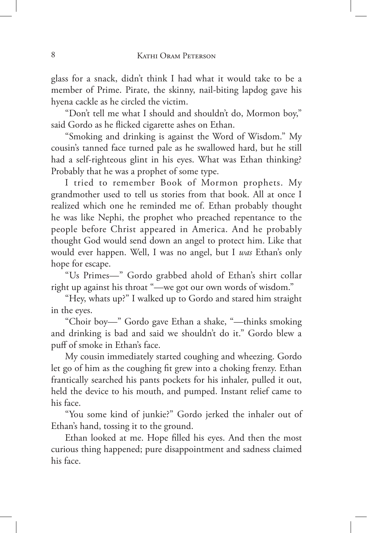glass for a snack, didn't think I had what it would take to be a member of Prime. Pirate, the skinny, nail-biting lapdog gave his hyena cackle as he circled the victim.

"Don't tell me what I should and shouldn't do, Mormon boy," said Gordo as he flicked cigarette ashes on Ethan.

"Smoking and drinking is against the Word of Wisdom." My cousin's tanned face turned pale as he swallowed hard, but he still had a self-righteous glint in his eyes. What was Ethan thinking? Probably that he was a prophet of some type.

I tried to remember Book of Mormon prophets. My grandmother used to tell us stories from that book. All at once I realized which one he reminded me of. Ethan probably thought he was like Nephi, the prophet who preached repentance to the people before Christ appeared in America. And he probably thought God would send down an angel to protect him. Like that would ever happen. Well, I was no angel, but I *was* Ethan's only hope for escape.

"Us Primes—" Gordo grabbed ahold of Ethan's shirt collar right up against his throat "—we got our own words of wisdom."

"Hey, whats up?" I walked up to Gordo and stared him straight in the eyes.

"Choir boy—" Gordo gave Ethan a shake, "—thinks smoking and drinking is bad and said we shouldn't do it." Gordo blew a puff of smoke in Ethan's face.

My cousin immediately started coughing and wheezing. Gordo let go of him as the coughing fit grew into a choking frenzy. Ethan frantically searched his pants pockets for his inhaler, pulled it out, held the device to his mouth, and pumped. Instant relief came to his face.

"You some kind of junkie?" Gordo jerked the inhaler out of Ethan's hand, tossing it to the ground.

Ethan looked at me. Hope filled his eyes. And then the most curious thing happened; pure disappointment and sadness claimed his face.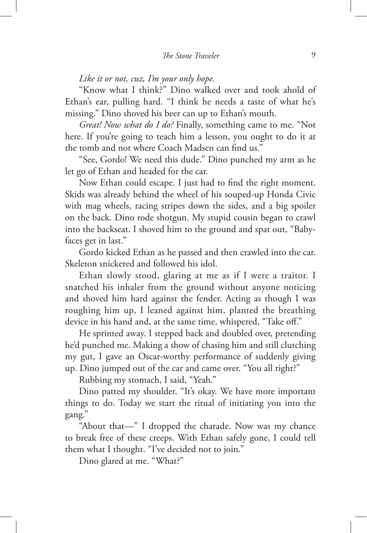*Like it or not, cuz, I'm your only hope.*

"Know what I think?" Dino walked over and took ahold of Ethan's ear, pulling hard. "I think he needs a taste of what he's missing." Dino shoved his beer can up to Ethan's mouth.

*Great! Now what do I do?* Finally, something came to me. "Not here. If you're going to teach him a lesson, you ought to do it at the tomb and not where Coach Madsen can find us."

"See, Gordo! We need this dude." Dino punched my arm as he let go of Ethan and headed for the car.

Now Ethan could escape. I just had to find the right moment. Skids was already behind the wheel of his souped-up Honda Civic with mag wheels, racing stripes down the sides, and a big spoiler on the back. Dino rode shotgun. My stupid cousin began to crawl into the backseat. I shoved him to the ground and spat out, "Babyfaces get in last."

Gordo kicked Ethan as he passed and then crawled into the car. Skeleton snickered and followed his idol.

Ethan slowly stood, glaring at me as if I were a traitor. I snatched his inhaler from the ground without anyone noticing and shoved him hard against the fender. Acting as though I was roughing him up, I leaned against him, planted the breathing device in his hand and, at the same time, whispered, "Take off."

He sprinted away. I stepped back and doubled over, pretending he'd punched me. Making a show of chasing him and still clutching my gut, I gave an Oscar-worthy performance of suddenly giving up. Dino jumped out of the car and came over. "You all right?"

Rubbing my stomach, I said, "Yeah."

Dino patted my shoulder. "It's okay. We have more important things to do. Today we start the ritual of initiating you into the gang."

"About that—" I dropped the charade. Now was my chance to break free of these creeps. With Ethan safely gone, I could tell them what I thought. "I've decided not to join."

Dino glared at me. "What?"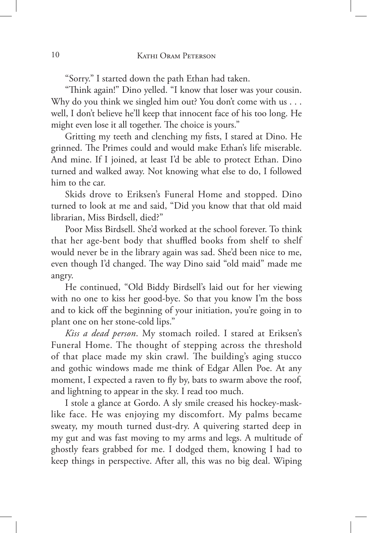"Sorry." I started down the path Ethan had taken.

"Think again!" Dino yelled. "I know that loser was your cousin. Why do you think we singled him out? You don't come with us . . . well, I don't believe he'll keep that innocent face of his too long. He might even lose it all together. The choice is yours."

Gritting my teeth and clenching my fists, I stared at Dino. He grinned. The Primes could and would make Ethan's life miserable. And mine. If I joined, at least I'd be able to protect Ethan. Dino turned and walked away. Not knowing what else to do, I followed him to the car.

Skids drove to Eriksen's Funeral Home and stopped. Dino turned to look at me and said, "Did you know that that old maid librarian, Miss Birdsell, died?"

Poor Miss Birdsell. She'd worked at the school forever. To think that her age-bent body that shuffled books from shelf to shelf would never be in the library again was sad. She'd been nice to me, even though I'd changed. The way Dino said "old maid" made me angry.

He continued, "Old Biddy Birdsell's laid out for her viewing with no one to kiss her good-bye. So that you know I'm the boss and to kick off the beginning of your initiation, you're going in to plant one on her stone-cold lips."

*Kiss a dead person*. My stomach roiled. I stared at Eriksen's Funeral Home. The thought of stepping across the threshold of that place made my skin crawl. The building's aging stucco and gothic windows made me think of Edgar Allen Poe. At any moment, I expected a raven to fly by, bats to swarm above the roof, and lightning to appear in the sky. I read too much.

I stole a glance at Gordo. A sly smile creased his hockey-masklike face. He was enjoying my discomfort. My palms became sweaty, my mouth turned dust-dry. A quivering started deep in my gut and was fast moving to my arms and legs. A multitude of ghostly fears grabbed for me. I dodged them, knowing I had to keep things in perspective. After all, this was no big deal. Wiping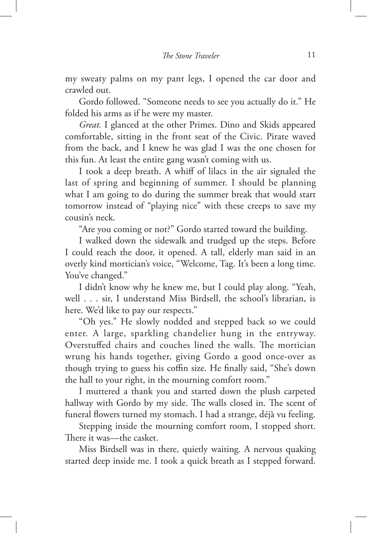my sweaty palms on my pant legs, I opened the car door and crawled out.

Gordo followed. "Someone needs to see you actually do it." He folded his arms as if he were my master.

*Great.* I glanced at the other Primes. Dino and Skids appeared comfortable, sitting in the front seat of the Civic. Pirate waved from the back, and I knew he was glad I was the one chosen for this fun. At least the entire gang wasn't coming with us.

I took a deep breath. A whiff of lilacs in the air signaled the last of spring and beginning of summer. I should be planning what I am going to do during the summer break that would start tomorrow instead of "playing nice" with these creeps to save my cousin's neck.

"Are you coming or not?" Gordo started toward the building.

I walked down the sidewalk and trudged up the steps. Before I could reach the door, it opened. A tall, elderly man said in an overly kind mortician's voice, "Welcome, Tag. It's been a long time. You've changed."

I didn't know why he knew me, but I could play along. "Yeah, well . . . sir, I understand Miss Birdsell, the school's librarian, is here. We'd like to pay our respects."

"Oh yes." He slowly nodded and stepped back so we could enter. A large, sparkling chandelier hung in the entryway. Overstuffed chairs and couches lined the walls. The mortician wrung his hands together, giving Gordo a good once-over as though trying to guess his coffin size. He finally said, "She's down the hall to your right, in the mourning comfort room."

I muttered a thank you and started down the plush carpeted hallway with Gordo by my side. The walls closed in. The scent of funeral flowers turned my stomach. I had a strange, déjà vu feeling.

Stepping inside the mourning comfort room, I stopped short. There it was—the casket.

Miss Birdsell was in there, quietly waiting. A nervous quaking started deep inside me. I took a quick breath as I stepped forward.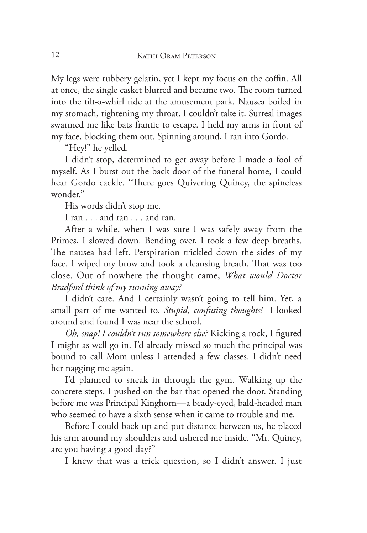My legs were rubbery gelatin, yet I kept my focus on the coffin. All at once, the single casket blurred and became two. The room turned into the tilt-a-whirl ride at the amusement park. Nausea boiled in my stomach, tightening my throat. I couldn't take it. Surreal images swarmed me like bats frantic to escape. I held my arms in front of my face, blocking them out. Spinning around, I ran into Gordo.

"Hey!" he yelled.

I didn't stop, determined to get away before I made a fool of myself. As I burst out the back door of the funeral home, I could hear Gordo cackle. "There goes Quivering Quincy, the spineless wonder."

His words didn't stop me.

I ran . . . and ran . . . and ran.

After a while, when I was sure I was safely away from the Primes, I slowed down. Bending over, I took a few deep breaths. The nausea had left. Perspiration trickled down the sides of my face. I wiped my brow and took a cleansing breath. That was too close. Out of nowhere the thought came, *What would Doctor Bradford think of my running away?*

I didn't care. And I certainly wasn't going to tell him. Yet, a small part of me wanted to. *Stupid, confusing thoughts!* I looked around and found I was near the school.

*Oh, snap! I couldn't run somewhere else?* Kicking a rock, I figured I might as well go in. I'd already missed so much the principal was bound to call Mom unless I attended a few classes. I didn't need her nagging me again.

I'd planned to sneak in through the gym. Walking up the concrete steps, I pushed on the bar that opened the door. Standing before me was Principal Kinghorn—a beady-eyed, bald-headed man who seemed to have a sixth sense when it came to trouble and me.

Before I could back up and put distance between us, he placed his arm around my shoulders and ushered me inside. "Mr. Quincy, are you having a good day?"

I knew that was a trick question, so I didn't answer. I just